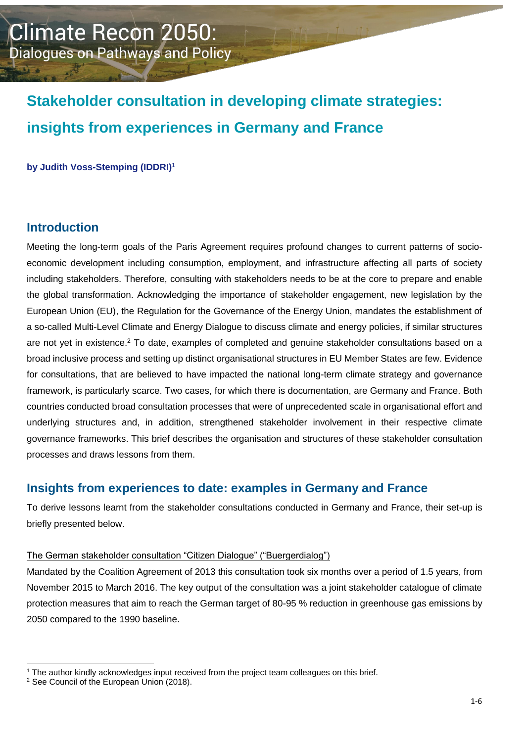# **Stakeholder consultation in developing climate strategies: insights from experiences in Germany and France**

**by Judith Voss-Stemping (IDDRI)<sup>1</sup>**

## **Introduction**

Meeting the long-term goals of the Paris Agreement requires profound changes to current patterns of socioeconomic development including consumption, employment, and infrastructure affecting all parts of society including stakeholders. Therefore, consulting with stakeholders needs to be at the core to prepare and enable the global transformation. Acknowledging the importance of stakeholder engagement, new legislation by the European Union (EU), the Regulation for the Governance of the Energy Union, mandates the establishment of a so-called Multi-Level Climate and Energy Dialogue to discuss climate and energy policies, if similar structures are not yet in existence.<sup>2</sup> To date, examples of completed and genuine stakeholder consultations based on a broad inclusive process and setting up distinct organisational structures in EU Member States are few. Evidence for consultations, that are believed to have impacted the national long-term climate strategy and governance framework, is particularly scarce. Two cases, for which there is documentation, are Germany and France. Both countries conducted broad consultation processes that were of unprecedented scale in organisational effort and underlying structures and, in addition, strengthened stakeholder involvement in their respective climate governance frameworks. This brief describes the organisation and structures of these stakeholder consultation processes and draws lessons from them.

#### **Insights from experiences to date: examples in Germany and France**

To derive lessons learnt from the stakeholder consultations conducted in Germany and France, their set-up is briefly presented below.

#### The German stakeholder consultation "Citizen Dialogue" ("Buergerdialog")

Mandated by the Coalition Agreement of 2013 this consultation took six months over a period of 1.5 years, from November 2015 to March 2016. The key output of the consultation was a joint stakeholder catalogue of climate protection measures that aim to reach the German target of 80-95 % reduction in greenhouse gas emissions by 2050 compared to the 1990 baseline.

-

<sup>&</sup>lt;sup>1</sup> The author kindly acknowledges input received from the project team colleagues on this brief.

<sup>&</sup>lt;sup>2</sup> See Council of the European Union (2018).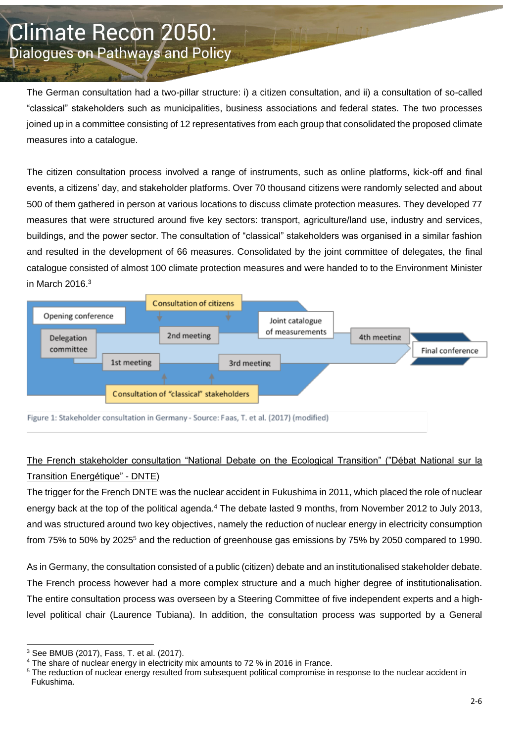The German consultation had a two-pillar structure: i) a citizen consultation, and ii) a consultation of so-called "classical" stakeholders such as municipalities, business associations and federal states. The two processes joined up in a committee consisting of 12 representatives from each group that consolidated the proposed climate measures into a catalogue.

The citizen consultation process involved a range of instruments, such as online platforms, kick-off and final events, a citizens' day, and stakeholder platforms. Over 70 thousand citizens were randomly selected and about 500 of them gathered in person at various locations to discuss climate protection measures. They developed 77 measures that were structured around five key sectors: transport, agriculture/land use, industry and services, buildings, and the power sector. The consultation of "classical" stakeholders was organised in a similar fashion and resulted in the development of 66 measures. Consolidated by the joint committee of delegates, the final catalogue consisted of almost 100 climate protection measures and were handed to to the Environment Minister in March 2016.<sup>3</sup>



Figure 1: Stakeholder consultation in Germany - Source: Faas, T. et al. (2017) (modified)

## The French stakeholder consultation "National Debate on the Ecological Transition" ("Débat National sur la Transition Energétique" - DNTE)

The trigger for the French DNTE was the nuclear accident in Fukushima in 2011, which placed the role of nuclear energy back at the top of the political agenda.<sup>4</sup> The debate lasted 9 months, from November 2012 to July 2013, and was structured around two key objectives, namely the reduction of nuclear energy in electricity consumption from 75% to 50% by 2025<sup>5</sup> and the reduction of greenhouse gas emissions by 75% by 2050 compared to 1990.

As in Germany, the consultation consisted of a public (citizen) debate and an institutionalised stakeholder debate. The French process however had a more complex structure and a much higher degree of institutionalisation. The entire consultation process was overseen by a Steering Committee of five independent experts and a highlevel political chair (Laurence Tubiana). In addition, the consultation process was supported by a General

<sup>-</sup><sup>3</sup> See BMUB (2017), Fass, T. et al. (2017).

<sup>4</sup> The share of nuclear energy in electricity mix amounts to 72 % in 2016 in France.

<sup>&</sup>lt;sup>5</sup> The reduction of nuclear energy resulted from subsequent political compromise in response to the nuclear accident in Fukushima.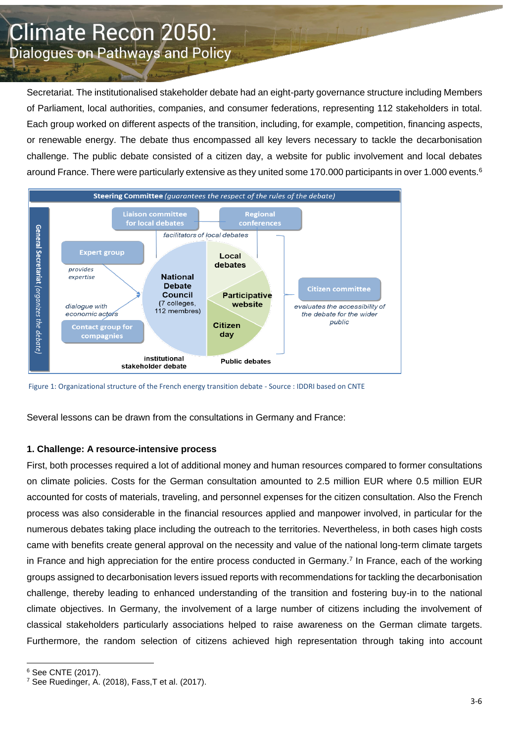Secretariat. The institutionalised stakeholder debate had an eight-party governance structure including Members of Parliament, local authorities, companies, and consumer federations, representing 112 stakeholders in total. Each group worked on different aspects of the transition, including, for example, competition, financing aspects, or renewable energy. The debate thus encompassed all key levers necessary to tackle the decarbonisation challenge. The public debate consisted of a citizen day, a website for public involvement and local debates around France. There were particularly extensive as they united some 170.000 participants in over 1.000 events.<sup>6</sup>



Figure 1: Organizational structure of the French energy transition debate - Source : IDDRI based on CNTE

Several lessons can be drawn from the consultations in Germany and France:

#### **1. Challenge: A resource-intensive process**

First, both processes required a lot of additional money and human resources compared to former consultations on climate policies. Costs for the German consultation amounted to 2.5 million EUR where 0.5 million EUR accounted for costs of materials, traveling, and personnel expenses for the citizen consultation. Also the French process was also considerable in the financial resources applied and manpower involved, in particular for the numerous debates taking place including the outreach to the territories. Nevertheless, in both cases high costs came with benefits create general approval on the necessity and value of the national long-term climate targets in France and high appreciation for the entire process conducted in Germany.<sup>7</sup> In France, each of the working groups assigned to decarbonisation levers issued reports with recommendations for tackling the decarbonisation challenge, thereby leading to enhanced understanding of the transition and fostering buy-in to the national climate objectives. In Germany, the involvement of a large number of citizens including the involvement of classical stakeholders particularly associations helped to raise awareness on the German climate targets. Furthermore, the random selection of citizens achieved high representation through taking into account

-

<sup>6</sup> See CNTE (2017).

 $^7$  See Ruedinger, A. (2018), Fass, T et al. (2017).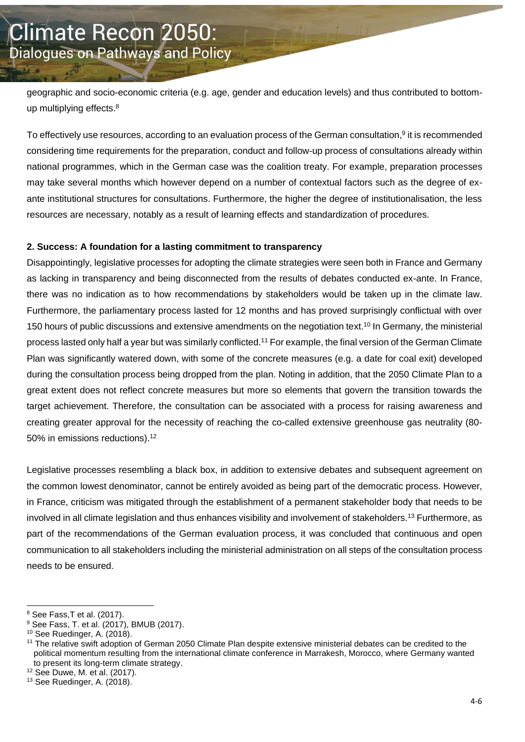geographic and socio-economic criteria (e.g. age, gender and education levels) and thus contributed to bottomup multiplying effects.<sup>8</sup>

To effectively use resources, according to an evaluation process of the German consultation,<sup>9</sup> it is recommended considering time requirements for the preparation, conduct and follow-up process of consultations already within national programmes, which in the German case was the coalition treaty. For example, preparation processes may take several months which however depend on a number of contextual factors such as the degree of exante institutional structures for consultations. Furthermore, the higher the degree of institutionalisation, the less resources are necessary, notably as a result of learning effects and standardization of procedures.

#### **2. Success: A foundation for a lasting commitment to transparency**

Disappointingly, legislative processes for adopting the climate strategies were seen both in France and Germany as lacking in transparency and being disconnected from the results of debates conducted ex-ante. In France, there was no indication as to how recommendations by stakeholders would be taken up in the climate law. Furthermore, the parliamentary process lasted for 12 months and has proved surprisingly conflictual with over 150 hours of public discussions and extensive amendments on the negotiation text.<sup>10</sup> In Germany, the ministerial process lasted only half a year but was similarly conflicted.<sup>11</sup> For example, the final version of the German Climate Plan was significantly watered down, with some of the concrete measures (e.g. a date for coal exit) developed during the consultation process being dropped from the plan. Noting in addition, that the 2050 Climate Plan to a great extent does not reflect concrete measures but more so elements that govern the transition towards the target achievement. Therefore, the consultation can be associated with a process for raising awareness and creating greater approval for the necessity of reaching the co-called extensive greenhouse gas neutrality (80- 50% in emissions reductions).<sup>12</sup>

Legislative processes resembling a black box, in addition to extensive debates and subsequent agreement on the common lowest denominator, cannot be entirely avoided as being part of the democratic process. However, in France, criticism was mitigated through the establishment of a permanent stakeholder body that needs to be involved in all climate legislation and thus enhances visibility and involvement of stakeholders.<sup>13</sup> Furthermore, as part of the recommendations of the German evaluation process, it was concluded that continuous and open communication to all stakeholders including the ministerial administration on all steps of the consultation process needs to be ensured.

-

<sup>8</sup> See Fass,T et al. (2017).

 $9$  See Fass, T. et al. (2017), BMUB (2017).

<sup>10</sup> See Ruedinger, A. (2018).

<sup>11</sup> The relative swift adoption of German 2050 Climate Plan despite extensive ministerial debates can be credited to the political momentum resulting from the international climate conference in Marrakesh, Morocco, where Germany wanted to present its long-term climate strategy.

 $12$  See Duwe, M. et al. (2017).

<sup>&</sup>lt;sup>13</sup> See Ruedinger, A. (2018).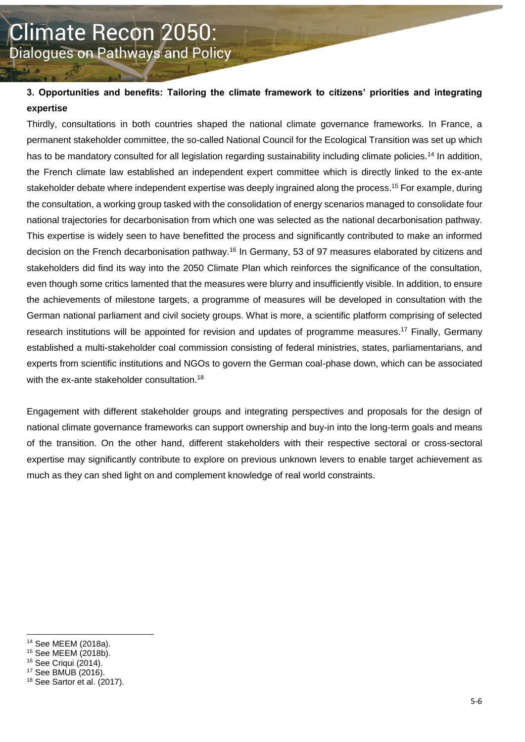#### **3. Opportunities and benefits: Tailoring the climate framework to citizens' priorities and integrating expertise**

Thirdly, consultations in both countries shaped the national climate governance frameworks. In France, a permanent stakeholder committee, the so-called National Council for the Ecological Transition was set up which has to be mandatory consulted for all legislation regarding sustainability including climate policies.<sup>14</sup> In addition, the French climate law established an independent expert committee which is directly linked to the ex-ante stakeholder debate where independent expertise was deeply ingrained along the process.<sup>15</sup> For example, during the consultation, a working group tasked with the consolidation of energy scenarios managed to consolidate four national trajectories for decarbonisation from which one was selected as the national decarbonisation pathway. This expertise is widely seen to have benefitted the process and significantly contributed to make an informed decision on the French decarbonisation pathway.<sup>16</sup> In Germany, 53 of 97 measures elaborated by citizens and stakeholders did find its way into the 2050 Climate Plan which reinforces the significance of the consultation, even though some critics lamented that the measures were blurry and insufficiently visible. In addition, to ensure the achievements of milestone targets, a programme of measures will be developed in consultation with the German national parliament and civil society groups. What is more, a scientific platform comprising of selected research institutions will be appointed for revision and updates of programme measures.<sup>17</sup> Finally, Germany established a multi-stakeholder coal commission consisting of federal ministries, states, parliamentarians, and experts from scientific institutions and NGOs to govern the German coal-phase down, which can be associated with the ex-ante stakeholder consultation.<sup>18</sup>

Engagement with different stakeholder groups and integrating perspectives and proposals for the design of national climate governance frameworks can support ownership and buy-in into the long-term goals and means of the transition. On the other hand, different stakeholders with their respective sectoral or cross-sectoral expertise may significantly contribute to explore on previous unknown levers to enable target achievement as much as they can shed light on and complement knowledge of real world constraints.

1

<sup>14</sup> See MEEM (2018a).

<sup>15</sup> See MEEM (2018b).

<sup>16</sup> See Criqui (2014).

<sup>17</sup> See BMUB (2016).

<sup>18</sup> See Sartor et al. (2017).